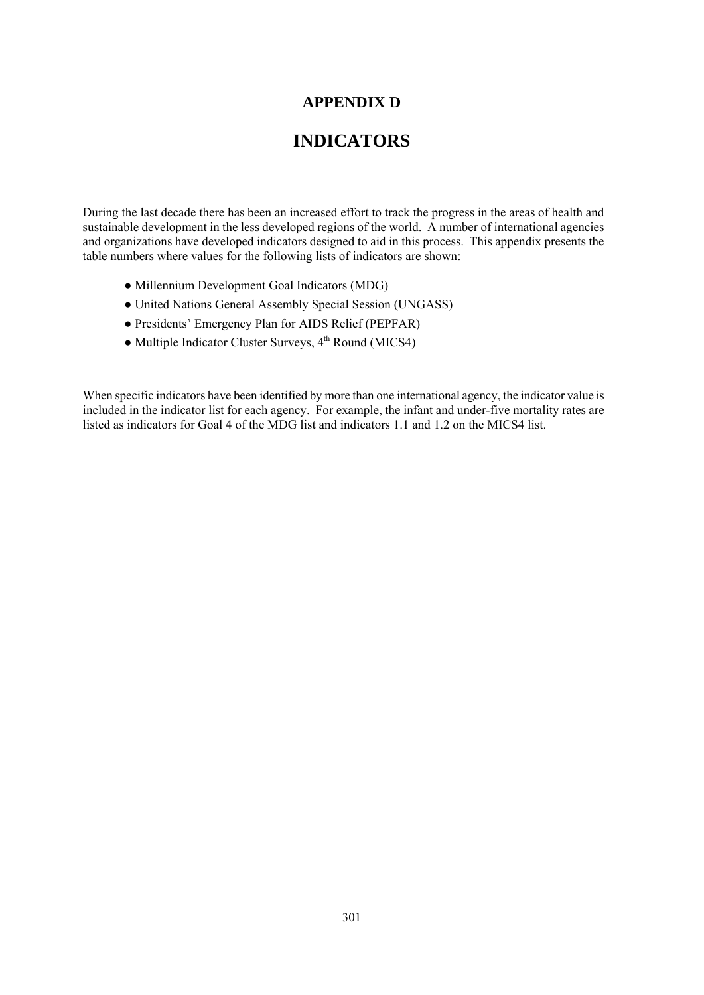#### **APPENDIX D**

#### **INDICATORS**

During the last decade there has been an increased effort to track the progress in the areas of health and sustainable development in the less developed regions of the world. A number of international agencies and organizations have developed indicators designed to aid in this process. This appendix presents the table numbers where values for the following lists of indicators are shown:

- Millennium Development Goal Indicators (MDG)
- United Nations General Assembly Special Session (UNGASS)
- Presidents' Emergency Plan for AIDS Relief (PEPFAR)
- $\bullet$  Multiple Indicator Cluster Surveys,  $4^{th}$  Round (MICS4)

When specific indicators have been identified by more than one international agency, the indicator value is included in the indicator list for each agency. For example, the infant and under-five mortality rates are listed as indicators for Goal 4 of the MDG list and indicators 1.1 and 1.2 on the MICS4 list.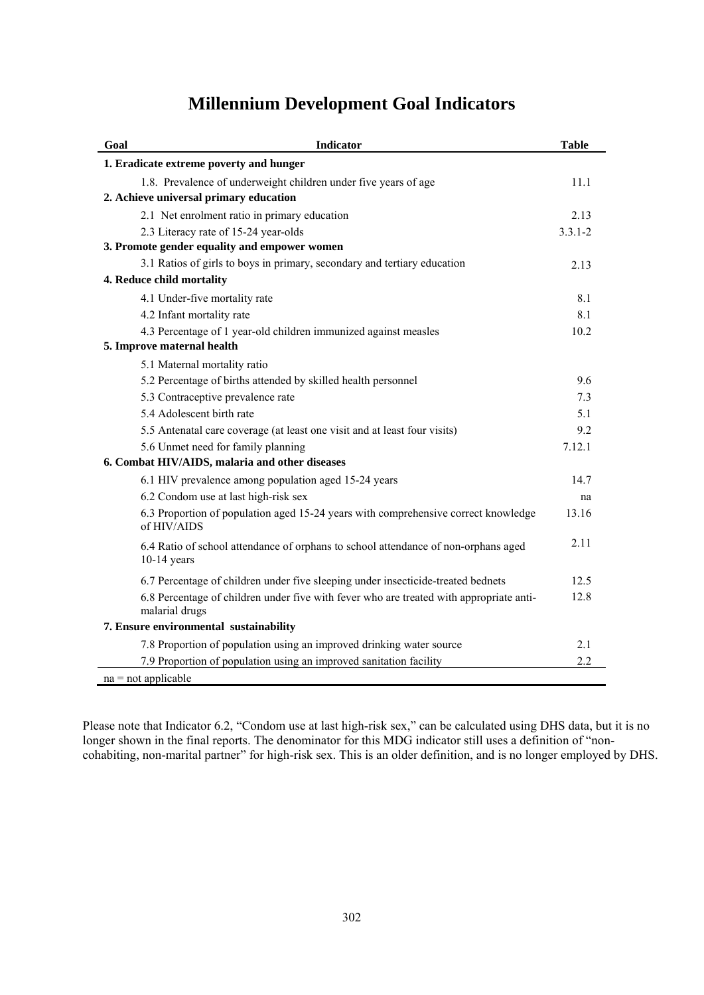### **Millennium Development Goal Indicators**

| Goal                                           | <b>Indicator</b>                                                                                          | <b>Table</b> |  |  |  |
|------------------------------------------------|-----------------------------------------------------------------------------------------------------------|--------------|--|--|--|
|                                                | 1. Eradicate extreme poverty and hunger                                                                   |              |  |  |  |
|                                                | 1.8. Prevalence of underweight children under five years of age                                           | 11.1         |  |  |  |
|                                                | 2. Achieve universal primary education                                                                    |              |  |  |  |
|                                                | 2.1 Net enrolment ratio in primary education                                                              | 2.13         |  |  |  |
|                                                | 2.3 Literacy rate of 15-24 year-olds                                                                      | $3.3.1 - 2$  |  |  |  |
| 3. Promote gender equality and empower women   |                                                                                                           |              |  |  |  |
|                                                | 3.1 Ratios of girls to boys in primary, secondary and tertiary education                                  | 2.13         |  |  |  |
| 4. Reduce child mortality                      |                                                                                                           |              |  |  |  |
|                                                | 4.1 Under-five mortality rate                                                                             | 8.1          |  |  |  |
|                                                | 4.2 Infant mortality rate                                                                                 | 8.1          |  |  |  |
|                                                | 4.3 Percentage of 1 year-old children immunized against measles                                           | 10.2         |  |  |  |
|                                                | 5. Improve maternal health                                                                                |              |  |  |  |
|                                                | 5.1 Maternal mortality ratio                                                                              |              |  |  |  |
|                                                | 5.2 Percentage of births attended by skilled health personnel                                             | 9.6          |  |  |  |
|                                                | 5.3 Contraceptive prevalence rate                                                                         | 7.3          |  |  |  |
|                                                | 5.4 Adolescent birth rate                                                                                 | 5.1          |  |  |  |
|                                                | 5.5 Antenatal care coverage (at least one visit and at least four visits)                                 | 9.2          |  |  |  |
|                                                | 5.6 Unmet need for family planning                                                                        | 7.12.1       |  |  |  |
| 6. Combat HIV/AIDS, malaria and other diseases |                                                                                                           |              |  |  |  |
|                                                | 6.1 HIV prevalence among population aged 15-24 years                                                      | 14.7         |  |  |  |
|                                                | 6.2 Condom use at last high-risk sex                                                                      | na           |  |  |  |
|                                                | 6.3 Proportion of population aged 15-24 years with comprehensive correct knowledge<br>of HIV/AIDS         | 13.16        |  |  |  |
|                                                | 6.4 Ratio of school attendance of orphans to school attendance of non-orphans aged<br>$10-14$ years       | 2.11         |  |  |  |
|                                                | 6.7 Percentage of children under five sleeping under insecticide-treated bednets                          | 12.5         |  |  |  |
|                                                | 6.8 Percentage of children under five with fever who are treated with appropriate anti-<br>malarial drugs | 12.8         |  |  |  |
| 7. Ensure environmental sustainability         |                                                                                                           |              |  |  |  |
|                                                | 7.8 Proportion of population using an improved drinking water source                                      | 2.1          |  |  |  |
|                                                | 7.9 Proportion of population using an improved sanitation facility                                        | 2.2          |  |  |  |
| $na = not applicable$                          |                                                                                                           |              |  |  |  |

Please note that Indicator 6.2, "Condom use at last high-risk sex," can be calculated using DHS data, but it is no longer shown in the final reports. The denominator for this MDG indicator still uses a definition of "noncohabiting, non-marital partner" for high-risk sex. This is an older definition, and is no longer employed by DHS.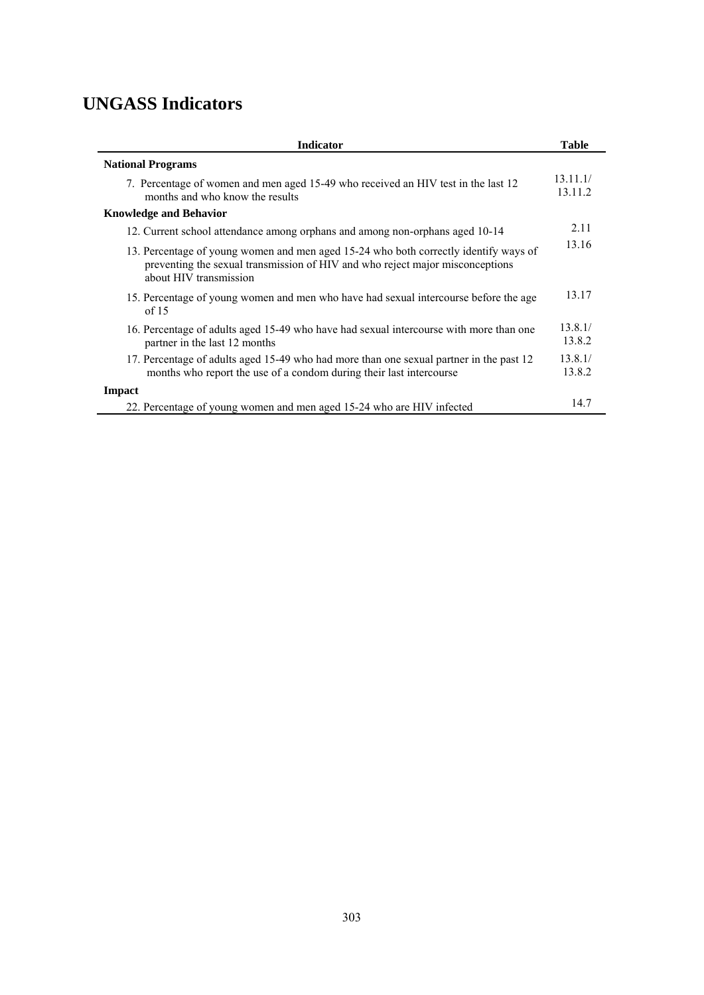## **UNGASS Indicators**

| <b>Indicator</b>                                                                                                                                                                                | <b>Table</b>        |  |  |
|-------------------------------------------------------------------------------------------------------------------------------------------------------------------------------------------------|---------------------|--|--|
| <b>National Programs</b>                                                                                                                                                                        |                     |  |  |
| 7. Percentage of women and men aged 15-49 who received an HIV test in the last 12<br>months and who know the results                                                                            | 13.11.1/<br>13.11.2 |  |  |
| <b>Knowledge and Behavior</b>                                                                                                                                                                   |                     |  |  |
| 12. Current school attendance among orphans and among non-orphans aged 10-14                                                                                                                    | 2.11                |  |  |
| 13. Percentage of young women and men aged 15-24 who both correctly identify ways of<br>preventing the sexual transmission of HIV and who reject major misconceptions<br>about HIV transmission | 13.16               |  |  |
| 15. Percentage of young women and men who have had sexual intercourse before the age<br>of $15$                                                                                                 | 13.17               |  |  |
| 16. Percentage of adults aged 15-49 who have had sexual intercourse with more than one<br>partner in the last 12 months                                                                         | 13.8.1/<br>13.8.2   |  |  |
| 17. Percentage of adults aged 15-49 who had more than one sexual partner in the past 12<br>months who report the use of a condom during their last intercourse                                  | 13.8.1/<br>13.8.2   |  |  |
| Impact                                                                                                                                                                                          |                     |  |  |
| 22. Percentage of young women and men aged 15-24 who are HIV infected                                                                                                                           | 14.7                |  |  |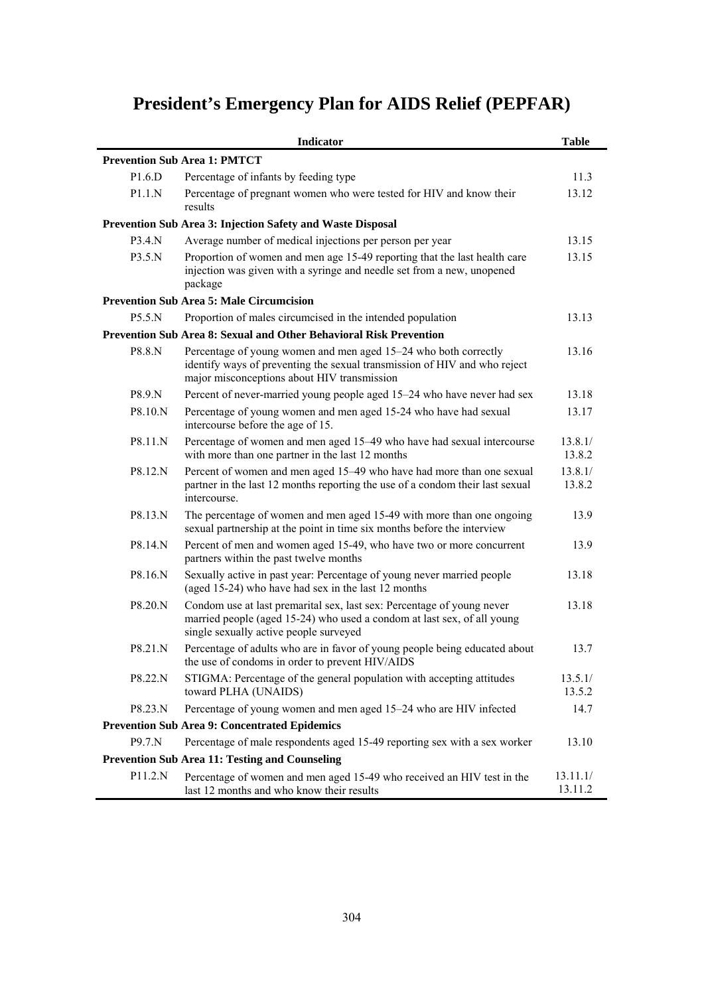# **President's Emergency Plan for AIDS Relief (PEPFAR)**

|                                                       | Indicator                                                                                                                                                                                   | <b>Table</b>        |  |  |  |  |
|-------------------------------------------------------|---------------------------------------------------------------------------------------------------------------------------------------------------------------------------------------------|---------------------|--|--|--|--|
| <b>Prevention Sub Area 1: PMTCT</b>                   |                                                                                                                                                                                             |                     |  |  |  |  |
| P1.6.D                                                | Percentage of infants by feeding type                                                                                                                                                       | 11.3                |  |  |  |  |
| P1.1.N                                                | Percentage of pregnant women who were tested for HIV and know their<br>results                                                                                                              | 13.12               |  |  |  |  |
|                                                       | Prevention Sub Area 3: Injection Safety and Waste Disposal                                                                                                                                  |                     |  |  |  |  |
| P3.4.N                                                | Average number of medical injections per person per year                                                                                                                                    | 13.15               |  |  |  |  |
| P3.5.N                                                | Proportion of women and men age 15-49 reporting that the last health care<br>injection was given with a syringe and needle set from a new, unopened<br>package                              | 13.15               |  |  |  |  |
|                                                       | <b>Prevention Sub Area 5: Male Circumcision</b>                                                                                                                                             |                     |  |  |  |  |
| P5.5.N                                                | Proportion of males circumcised in the intended population                                                                                                                                  | 13.13               |  |  |  |  |
|                                                       | Prevention Sub Area 8: Sexual and Other Behavioral Risk Prevention                                                                                                                          |                     |  |  |  |  |
| P8.8.N                                                | Percentage of young women and men aged 15–24 who both correctly<br>identify ways of preventing the sexual transmission of HIV and who reject<br>major misconceptions about HIV transmission | 13.16               |  |  |  |  |
| P8.9.N                                                | Percent of never-married young people aged 15–24 who have never had sex                                                                                                                     | 13.18               |  |  |  |  |
| P8.10.N                                               | Percentage of young women and men aged 15-24 who have had sexual<br>intercourse before the age of 15.                                                                                       | 13.17               |  |  |  |  |
| P8.11.N                                               | Percentage of women and men aged 15-49 who have had sexual intercourse<br>with more than one partner in the last 12 months                                                                  | 13.8.1/<br>13.8.2   |  |  |  |  |
| P8.12.N                                               | Percent of women and men aged 15-49 who have had more than one sexual<br>partner in the last 12 months reporting the use of a condom their last sexual<br>intercourse.                      | 13.8.1/<br>13.8.2   |  |  |  |  |
| P8.13.N                                               | The percentage of women and men aged 15-49 with more than one ongoing<br>sexual partnership at the point in time six months before the interview                                            | 13.9                |  |  |  |  |
| P8.14.N                                               | Percent of men and women aged 15-49, who have two or more concurrent<br>partners within the past twelve months                                                                              | 13.9                |  |  |  |  |
| P8.16.N                                               | Sexually active in past year: Percentage of young never married people<br>(aged 15-24) who have had sex in the last 12 months                                                               | 13.18               |  |  |  |  |
| P8.20.N                                               | Condom use at last premarital sex, last sex: Percentage of young never<br>married people (aged 15-24) who used a condom at last sex, of all young<br>single sexually active people surveyed | 13.18               |  |  |  |  |
| P8.21.N                                               | Percentage of adults who are in favor of young people being educated about<br>the use of condoms in order to prevent HIV/AIDS                                                               | 13.7                |  |  |  |  |
| P8.22.N                                               | STIGMA: Percentage of the general population with accepting attitudes<br>toward PLHA (UNAIDS)                                                                                               | 13.5.1/<br>13.5.2   |  |  |  |  |
| P8.23.N                                               | Percentage of young women and men aged 15–24 who are HIV infected                                                                                                                           | 14.7                |  |  |  |  |
|                                                       | <b>Prevention Sub Area 9: Concentrated Epidemics</b>                                                                                                                                        |                     |  |  |  |  |
| P9.7.N                                                | Percentage of male respondents aged 15-49 reporting sex with a sex worker                                                                                                                   | 13.10               |  |  |  |  |
| <b>Prevention Sub Area 11: Testing and Counseling</b> |                                                                                                                                                                                             |                     |  |  |  |  |
| P11.2.N                                               | Percentage of women and men aged 15-49 who received an HIV test in the<br>last 12 months and who know their results                                                                         | 13.11.1/<br>13.11.2 |  |  |  |  |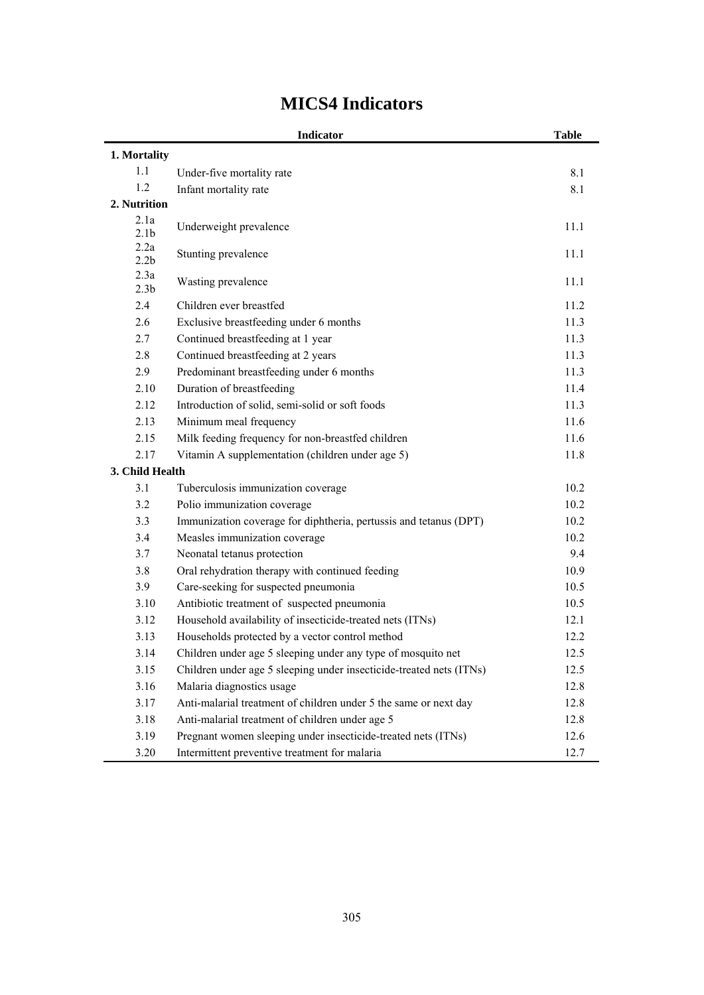|                          | <b>Indicator</b>                                                    | <b>Table</b> |
|--------------------------|---------------------------------------------------------------------|--------------|
| 1. Mortality             |                                                                     |              |
| 1.1                      | Under-five mortality rate                                           | 8.1          |
| 1.2                      | Infant mortality rate                                               | 8.1          |
| 2. Nutrition             |                                                                     |              |
| 2.1a<br>2.1 <sub>b</sub> | Underweight prevalence                                              | 11.1         |
| 2.2a<br>2.2 <sub>b</sub> | Stunting prevalence                                                 | 11.1         |
| 2.3a<br>2.3 <sub>b</sub> | Wasting prevalence                                                  | 11.1         |
| 2.4                      | Children ever breastfed                                             | 11.2         |
| 2.6                      | Exclusive breastfeeding under 6 months                              | 11.3         |
| 2.7                      | Continued breastfeeding at 1 year                                   | 11.3         |
| 2.8                      | Continued breastfeeding at 2 years                                  | 11.3         |
| 2.9                      | Predominant breastfeeding under 6 months                            | 11.3         |
| 2.10                     | Duration of breastfeeding                                           | 11.4         |
| 2.12                     | Introduction of solid, semi-solid or soft foods                     | 11.3         |
| 2.13                     | Minimum meal frequency                                              | 11.6         |
| 2.15                     | Milk feeding frequency for non-breastfed children                   | 11.6         |
| 2.17                     | Vitamin A supplementation (children under age 5)                    | 11.8         |
| 3. Child Health          |                                                                     |              |
| 3.1                      | Tuberculosis immunization coverage                                  | 10.2         |
| 3.2                      | Polio immunization coverage                                         | 10.2         |
| 3.3                      | Immunization coverage for diphtheria, pertussis and tetanus (DPT)   | 10.2         |
| 3.4                      | Measles immunization coverage                                       | 10.2         |
| 3.7                      | Neonatal tetanus protection                                         | 9.4          |
| 3.8                      | Oral rehydration therapy with continued feeding                     | 10.9         |
| 3.9                      | Care-seeking for suspected pneumonia                                | 10.5         |
| 3.10                     | Antibiotic treatment of suspected pneumonia                         | 10.5         |
| 3.12                     | Household availability of insecticide-treated nets (ITNs)           | 12.1         |
| 3.13                     | Households protected by a vector control method                     | 12.2         |
| 3.14                     | Children under age 5 sleeping under any type of mosquito net        | 12.5         |
| 3.15                     | Children under age 5 sleeping under insecticide-treated nets (ITNs) | 12.5         |
| 3.16                     | Malaria diagnostics usage                                           | 12.8         |
| 3.17                     | Anti-malarial treatment of children under 5 the same or next day    | 12.8         |
| 3.18                     | Anti-malarial treatment of children under age 5                     | 12.8         |
| 3.19                     | Pregnant women sleeping under insecticide-treated nets (ITNs)       | 12.6         |
| 3.20                     | Intermittent preventive treatment for malaria                       | 12.7         |

## **MICS4 Indicators**